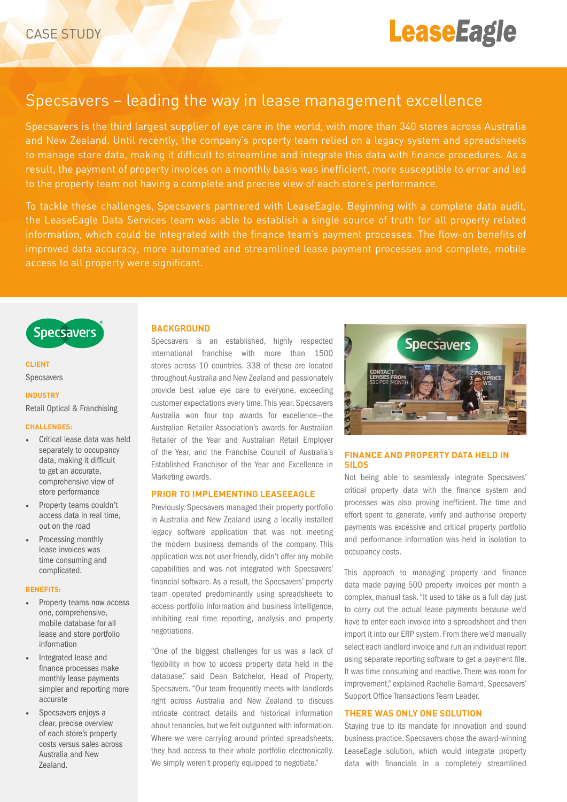

# Specsavers – leading the way in lease management excellence

Specsavers is the third largest supplier of eye care in the world, with more than 340 stores across Australia and New Zealand. Until recently, the company's property team relied on a legacy system and spreadsheets to manage store data, making it difficult to streamline and integrate this data with finance procedures. As a result, the payment of property invoices on a monthly basis was inefficient, more susceptible to error and led to the property team not having a complete and precise view of each store's performance.

To tackle these challenges, Specsavers partnered with LeaseEagle. Beginning with a complete data audit, the LeaseEagle Data Services team was able to establish a single source of truth for all property related information, which could be integrated with the finance team's payment processes. The flow-on benefits of improved data accuracy, more automated and streamlined lease payment processes and complete, mobile access to all property were significant.



## **CLIENT** Specsavers

#### **INDUSTRY**

Retail Optical & Franchising

#### **CHALLENGES:**

- Critical lease data was held separately to occupancy data, making it difficult to get an accurate, comprehensive view of store performance
- Property teams couldn't access data in real time, out on the road
- Processing monthly lease invoices was time consuming and complicated.

#### **BENEFITS:**

- Property teams now access one, comprehensive, mobile database for all lease and store portfolio information
- Integrated lease and finance processes make monthly lease payments simpler and reporting more accurate
- Specsavers enjoys a clear, precise overview of each store's property costs versus sales across Australia and New Zealand.

#### **BACKGROUND**

Specsavers is an established, highly respected international franchise with more than 1500 stores across 10 countries. 338 of these are located throughout Australia and New Zealand and passionately provide best value eye care to everyone, exceeding customer expectations every time. This year, Specsavers Australia won four top awards for excellence—the Australian Retailer Association's awards for Australian Retailer of the Year and Australian Retail Employer of the Year, and the Franchise Council of Australia's Established Franchisor of the Year and Excellence in Marketing awards.

#### **PRIOR TO IMPLEMENTING LEASEEAGLE**

Previously, Specsavers managed their property portfolio in Australia and New Zealand using a locally installed legacy software application that was not meeting the modern business demands of the company. This application was not user friendly, didn't offer any mobile capabilities and was not integrated with Specsavers' financial software. As a result, the Specsavers' property team operated predominantly using spreadsheets to access portfolio information and business intelligence, inhibiting real time reporting, analysis and property negotiations.

"One of the biggest challenges for us was a lack of flexibility in how to access property data held in the database," said Dean Batchelor, Head of Property, Specsavers. "Our team frequently meets with landlords right across Australia and New Zealand to discuss intricate contract details and historical information about tenancies, but we felt outgunned with information. Where *we* were carrying around printed spreadsheets, they had access to their whole portfolio electronically. We simply weren't properly equipped to negotiate."



## **FINANCE AND PROPERTY DATA HELD IN SILOS**

Not being able to seamlessly integrate Specsavers' critical property data with the finance system and processes was also proving inefficient. The time and effort spent to generate, verify and authorise property payments was excessive and critical property portfolio and performance information was held in isolation to occupancy costs.

This approach to managing property and finance data made paying 500 property invoices per month a complex, manual task. "It used to take us a full day just to carry out the actual lease payments because we'd have to enter each invoice into a spreadsheet and then import it into our ERP system. From there we'd manually select each landlord invoice and run an individual report using separate reporting software to get a payment file. It was time consuming and reactive. There was room for improvement," explained Rachelle Barnard, Specsavers' Support Office Transactions Team Leader.

## **THERE WAS ONLY ONE SOLUTION**

Staying true to its mandate for innovation and sound business practice, Specsavers chose the award-winning LeaseEagle solution, which would integrate property data with financials in a completely streamlined